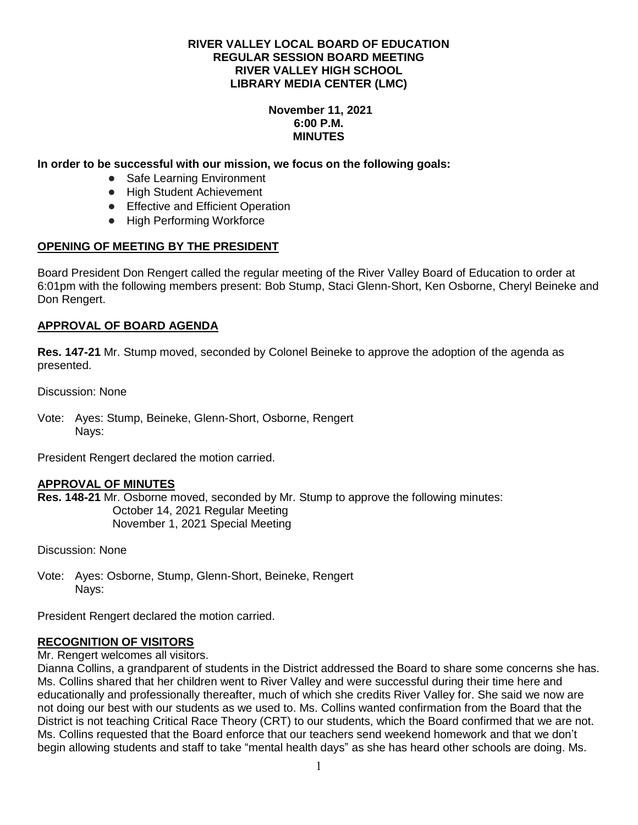# **November 11, 2021 6:00 P.M. MINUTES**

# **In order to be successful with our mission, we focus on the following goals:**

- Safe Learning Environment
- High Student Achievement
- Effective and Efficient Operation
- High Performing Workforce

### **OPENING OF MEETING BY THE PRESIDENT**

Board President Don Rengert called the regular meeting of the River Valley Board of Education to order at 6:01pm with the following members present: Bob Stump, Staci Glenn-Short, Ken Osborne, Cheryl Beineke and Don Rengert.

# **APPROVAL OF BOARD AGENDA**

**Res. 147-21** Mr. Stump moved, seconded by Colonel Beineke to approve the adoption of the agenda as presented.

Discussion: None

Vote: Ayes: Stump, Beineke, Glenn-Short, Osborne, Rengert Navs:

President Rengert declared the motion carried.

# **APPROVAL OF MINUTES**

**Res. 148-21** Mr. Osborne moved, seconded by Mr. Stump to approve the following minutes: October 14, 2021 Regular Meeting November 1, 2021 Special Meeting

Discussion: None

Vote: Ayes: Osborne, Stump, Glenn-Short, Beineke, Rengert Nays:

President Rengert declared the motion carried.

#### **RECOGNITION OF VISITORS**

Mr. Rengert welcomes all visitors.

Dianna Collins, a grandparent of students in the District addressed the Board to share some concerns she has. Ms. Collins shared that her children went to River Valley and were successful during their time here and educationally and professionally thereafter, much of which she credits River Valley for. She said we now are not doing our best with our students as we used to. Ms. Collins wanted confirmation from the Board that the District is not teaching Critical Race Theory (CRT) to our students, which the Board confirmed that we are not. Ms. Collins requested that the Board enforce that our teachers send weekend homework and that we don't begin allowing students and staff to take "mental health days" as she has heard other schools are doing. Ms.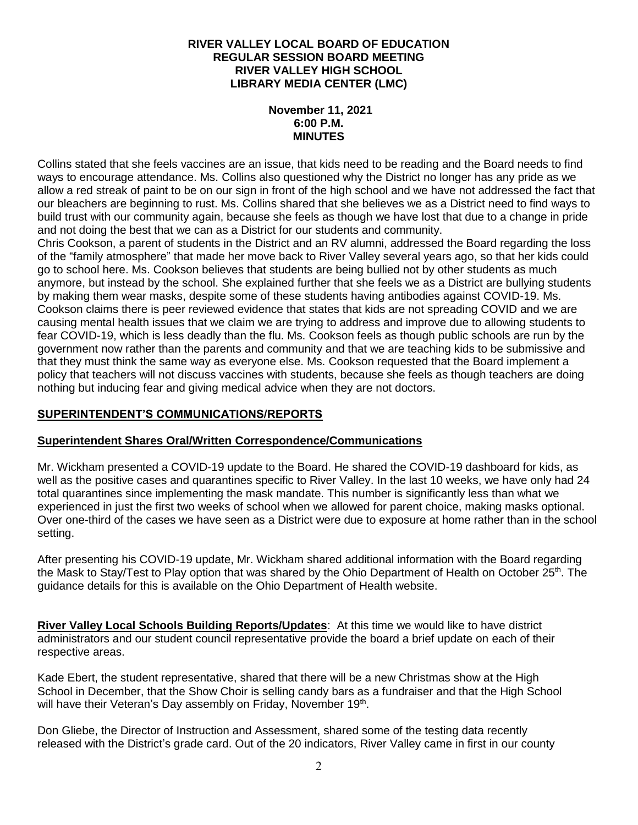### **November 11, 2021 6:00 P.M. MINUTES**

Collins stated that she feels vaccines are an issue, that kids need to be reading and the Board needs to find ways to encourage attendance. Ms. Collins also questioned why the District no longer has any pride as we allow a red streak of paint to be on our sign in front of the high school and we have not addressed the fact that our bleachers are beginning to rust. Ms. Collins shared that she believes we as a District need to find ways to build trust with our community again, because she feels as though we have lost that due to a change in pride and not doing the best that we can as a District for our students and community.

Chris Cookson, a parent of students in the District and an RV alumni, addressed the Board regarding the loss of the "family atmosphere" that made her move back to River Valley several years ago, so that her kids could go to school here. Ms. Cookson believes that students are being bullied not by other students as much anymore, but instead by the school. She explained further that she feels we as a District are bullying students by making them wear masks, despite some of these students having antibodies against COVID-19. Ms. Cookson claims there is peer reviewed evidence that states that kids are not spreading COVID and we are causing mental health issues that we claim we are trying to address and improve due to allowing students to fear COVID-19, which is less deadly than the flu. Ms. Cookson feels as though public schools are run by the government now rather than the parents and community and that we are teaching kids to be submissive and that they must think the same way as everyone else. Ms. Cookson requested that the Board implement a policy that teachers will not discuss vaccines with students, because she feels as though teachers are doing nothing but inducing fear and giving medical advice when they are not doctors.

# **SUPERINTENDENT'S COMMUNICATIONS/REPORTS**

# **Superintendent Shares Oral/Written Correspondence/Communications**

Mr. Wickham presented a COVID-19 update to the Board. He shared the COVID-19 dashboard for kids, as well as the positive cases and quarantines specific to River Valley. In the last 10 weeks, we have only had 24 total quarantines since implementing the mask mandate. This number is significantly less than what we experienced in just the first two weeks of school when we allowed for parent choice, making masks optional. Over one-third of the cases we have seen as a District were due to exposure at home rather than in the school setting.

After presenting his COVID-19 update, Mr. Wickham shared additional information with the Board regarding the Mask to Stay/Test to Play option that was shared by the Ohio Department of Health on October 25<sup>th</sup>. The guidance details for this is available on the Ohio Department of Health website.

**River Valley Local Schools Building Reports/Updates**: At this time we would like to have district administrators and our student council representative provide the board a brief update on each of their respective areas.

Kade Ebert, the student representative, shared that there will be a new Christmas show at the High School in December, that the Show Choir is selling candy bars as a fundraiser and that the High School will have their Veteran's Day assembly on Friday, November 19<sup>th</sup>.

Don Gliebe, the Director of Instruction and Assessment, shared some of the testing data recently released with the District's grade card. Out of the 20 indicators, River Valley came in first in our county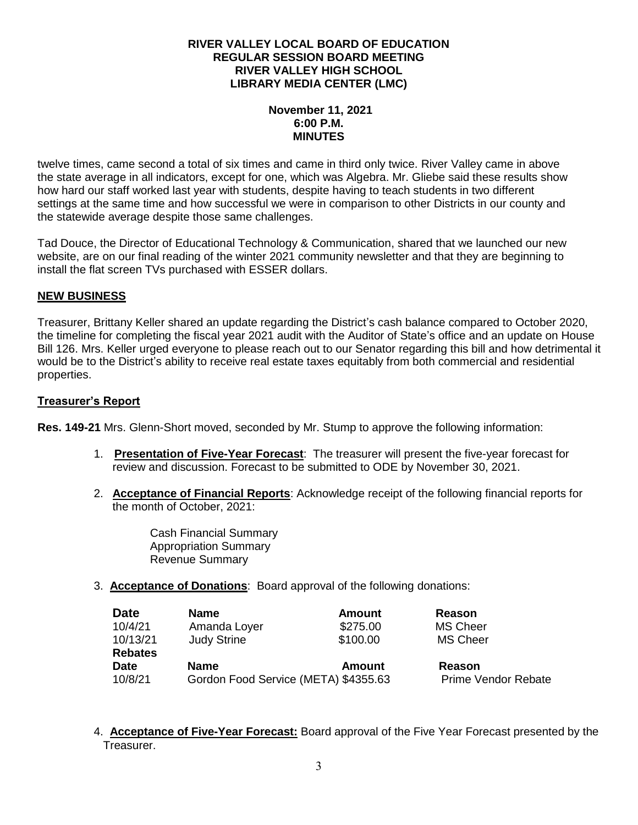### **November 11, 2021 6:00 P.M. MINUTES**

twelve times, came second a total of six times and came in third only twice. River Valley came in above the state average in all indicators, except for one, which was Algebra. Mr. Gliebe said these results show how hard our staff worked last year with students, despite having to teach students in two different settings at the same time and how successful we were in comparison to other Districts in our county and the statewide average despite those same challenges.

Tad Douce, the Director of Educational Technology & Communication, shared that we launched our new website, are on our final reading of the winter 2021 community newsletter and that they are beginning to install the flat screen TVs purchased with ESSER dollars.

# **NEW BUSINESS**

Treasurer, Brittany Keller shared an update regarding the District's cash balance compared to October 2020, the timeline for completing the fiscal year 2021 audit with the Auditor of State's office and an update on House Bill 126. Mrs. Keller urged everyone to please reach out to our Senator regarding this bill and how detrimental it would be to the District's ability to receive real estate taxes equitably from both commercial and residential properties.

### **Treasurer's Report**

**Res. 149-21** Mrs. Glenn-Short moved, seconded by Mr. Stump to approve the following information:

- 1. **Presentation of Five-Year Forecast**: The treasurer will present the five-year forecast for review and discussion. Forecast to be submitted to ODE by November 30, 2021.
- 2. **Acceptance of Financial Reports**: Acknowledge receipt of the following financial reports for the month of October, 2021:

Cash Financial Summary Appropriation Summary Revenue Summary

3. **Acceptance of Donations**: Board approval of the following donations:

| <b>Date</b>    | <b>Name</b>                          | <b>Amount</b> | Reason                     |
|----------------|--------------------------------------|---------------|----------------------------|
| 10/4/21        | Amanda Loyer                         | \$275.00      | <b>MS Cheer</b>            |
| 10/13/21       | <b>Judy Strine</b>                   | \$100.00      | <b>MS Cheer</b>            |
| <b>Rebates</b> |                                      |               |                            |
| <b>Date</b>    | <b>Name</b>                          | Amount        | Reason                     |
| 10/8/21        | Gordon Food Service (META) \$4355.63 |               | <b>Prime Vendor Rebate</b> |

4. **Acceptance of Five-Year Forecast:** Board approval of the Five Year Forecast presented by the Treasurer.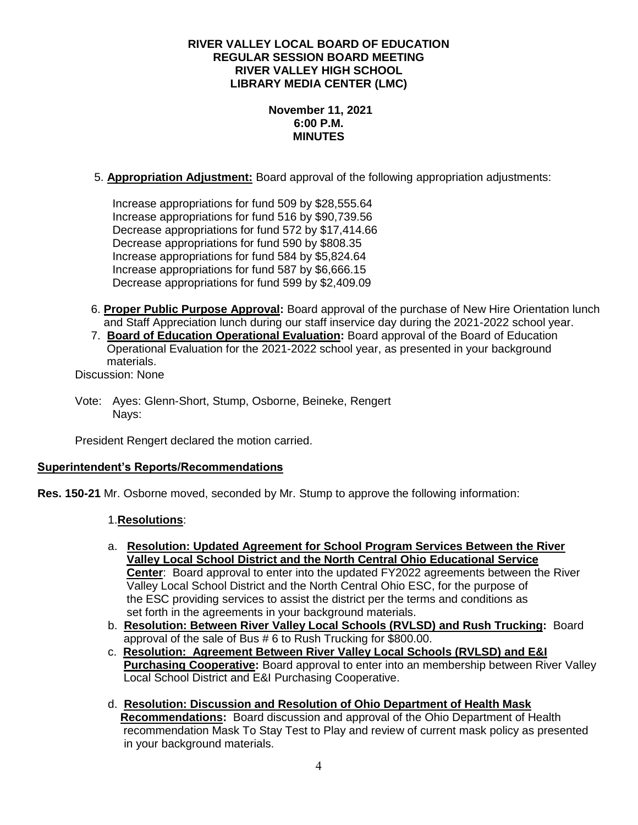# **November 11, 2021 6:00 P.M. MINUTES**

5. **Appropriation Adjustment:** Board approval of the following appropriation adjustments:

Increase appropriations for fund 509 by \$28,555.64 Increase appropriations for fund 516 by \$90,739.56 Decrease appropriations for fund 572 by \$17,414.66 Decrease appropriations for fund 590 by \$808.35 Increase appropriations for fund 584 by \$5,824.64 Increase appropriations for fund 587 by \$6,666.15 Decrease appropriations for fund 599 by \$2,409.09

- 6. **Proper Public Purpose Approval:** Board approval of the purchase of New Hire Orientation lunch and Staff Appreciation lunch during our staff inservice day during the 2021-2022 school year.
- 7. **Board of Education Operational Evaluation:** Board approval of the Board of Education Operational Evaluation for the 2021-2022 school year, as presented in your background materials.

Discussion: None

Vote: Ayes: Glenn-Short, Stump, Osborne, Beineke, Rengert Nays:

President Rengert declared the motion carried.

# **Superintendent's Reports/Recommendations**

**Res. 150-21** Mr. Osborne moved, seconded by Mr. Stump to approve the following information:

#### 1.**Resolutions**:

- a. **Resolution: Updated Agreement for School Program Services Between the River Valley Local School District and the North Central Ohio Educational Service Center**: Board approval to enter into the updated FY2022 agreements between the River Valley Local School District and the North Central Ohio ESC, for the purpose of the ESC providing services to assist the district per the terms and conditions as set forth in the agreements in your background materials.
- b. **Resolution: Between River Valley Local Schools (RVLSD) and Rush Trucking:** Board approval of the sale of Bus # 6 to Rush Trucking for \$800.00.
- c. **Resolution: Agreement Between River Valley Local Schools (RVLSD) and E&I Purchasing Cooperative:** Board approval to enter into an membership between River Valley Local School District and E&I Purchasing Cooperative.
- d. **Resolution: Discussion and Resolution of Ohio Department of Health Mask Recommendations:** Board discussion and approval of the Ohio Department of Health recommendation Mask To Stay Test to Play and review of current mask policy as presented in your background materials.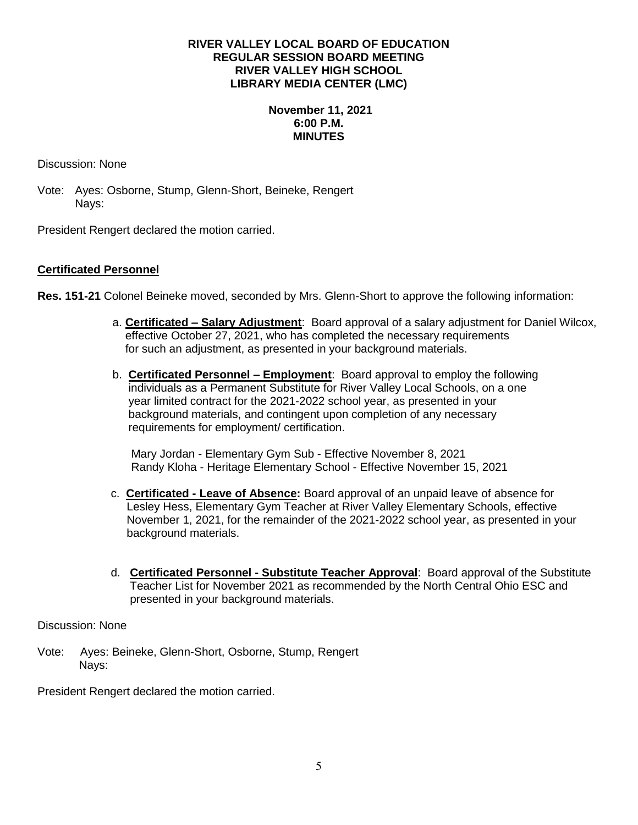### **November 11, 2021 6:00 P.M. MINUTES**

### Discussion: None

Vote: Ayes: Osborne, Stump, Glenn-Short, Beineke, Rengert Nays:

President Rengert declared the motion carried.

# **Certificated Personnel**

**Res. 151-21** Colonel Beineke moved, seconded by Mrs. Glenn-Short to approve the following information:

- a. **Certificated – Salary Adjustment**: Board approval of a salary adjustment for Daniel Wilcox, effective October 27, 2021, who has completed the necessary requirements for such an adjustment, as presented in your background materials.
- b. **Certificated Personnel – Employment**: Board approval to employ the following individuals as a Permanent Substitute for River Valley Local Schools, on a one year limited contract for the 2021-2022 school year, as presented in your background materials, and contingent upon completion of any necessary requirements for employment/ certification.

Mary Jordan - Elementary Gym Sub - Effective November 8, 2021 Randy Kloha - Heritage Elementary School - Effective November 15, 2021

- c. **Certificated - Leave of Absence:** Board approval of an unpaid leave of absence for Lesley Hess, Elementary Gym Teacher at River Valley Elementary Schools, effective November 1, 2021, for the remainder of the 2021-2022 school year, as presented in your background materials.
- d. **Certificated Personnel - Substitute Teacher Approval**: Board approval of the Substitute Teacher List for November 2021 as recommended by the North Central Ohio ESC and presented in your background materials.

Discussion: None

Vote: Ayes: Beineke, Glenn-Short, Osborne, Stump, Rengert Nays:

President Rengert declared the motion carried.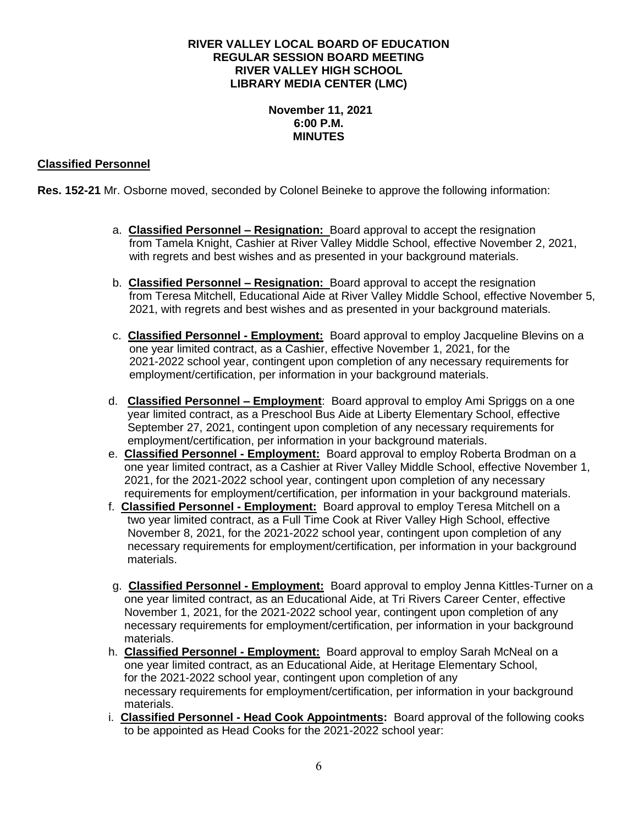### **November 11, 2021 6:00 P.M. MINUTES**

# **Classified Personnel**

**Res. 152-21** Mr. Osborne moved, seconded by Colonel Beineke to approve the following information:

- a. **Classified Personnel – Resignation:** Board approval to accept the resignation from Tamela Knight, Cashier at River Valley Middle School, effective November 2, 2021, with regrets and best wishes and as presented in your background materials.
- b. **Classified Personnel – Resignation:** Board approval to accept the resignation from Teresa Mitchell, Educational Aide at River Valley Middle School, effective November 5, 2021, with regrets and best wishes and as presented in your background materials.
- c. **Classified Personnel - Employment:** Board approval to employ Jacqueline Blevins on a one year limited contract, as a Cashier, effective November 1, 2021, for the 2021-2022 school year, contingent upon completion of any necessary requirements for employment/certification, per information in your background materials.
- d. **Classified Personnel – Employment**: Board approval to employ Ami Spriggs on a one year limited contract, as a Preschool Bus Aide at Liberty Elementary School, effective September 27, 2021, contingent upon completion of any necessary requirements for employment/certification, per information in your background materials.
- e. **Classified Personnel - Employment:** Board approval to employ Roberta Brodman on a one year limited contract, as a Cashier at River Valley Middle School, effective November 1, 2021, for the 2021-2022 school year, contingent upon completion of any necessary requirements for employment/certification, per information in your background materials.
- f. **Classified Personnel - Employment:** Board approval to employ Teresa Mitchell on a two year limited contract, as a Full Time Cook at River Valley High School, effective November 8, 2021, for the 2021-2022 school year, contingent upon completion of any necessary requirements for employment/certification, per information in your background materials.
- g. **Classified Personnel - Employment:** Board approval to employ Jenna Kittles-Turner on a one year limited contract, as an Educational Aide, at Tri Rivers Career Center, effective November 1, 2021, for the 2021-2022 school year, contingent upon completion of any necessary requirements for employment/certification, per information in your background materials.
- h. **Classified Personnel - Employment:** Board approval to employ Sarah McNeal on a one year limited contract, as an Educational Aide, at Heritage Elementary School, for the 2021-2022 school year, contingent upon completion of any necessary requirements for employment/certification, per information in your background materials.
- i. **Classified Personnel - Head Cook Appointments:** Board approval of the following cooks to be appointed as Head Cooks for the 2021-2022 school year: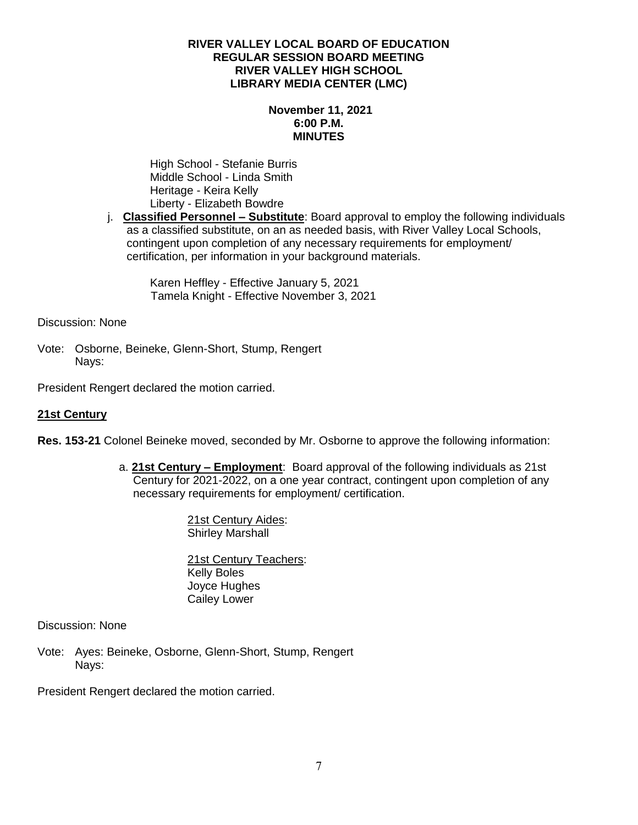### **November 11, 2021 6:00 P.M. MINUTES**

High School - Stefanie Burris Middle School - Linda Smith Heritage - Keira Kelly Liberty - Elizabeth Bowdre

 j. **Classified Personnel – Substitute**: Board approval to employ the following individuals as a classified substitute, on an as needed basis, with River Valley Local Schools, contingent upon completion of any necessary requirements for employment/ certification, per information in your background materials.

Karen Heffley - Effective January 5, 2021 Tamela Knight - Effective November 3, 2021

Discussion: None

Vote: Osborne, Beineke, Glenn-Short, Stump, Rengert Nays:

President Rengert declared the motion carried.

## **21st Century**

**Res. 153-21** Colonel Beineke moved, seconded by Mr. Osborne to approve the following information:

- a. **21st Century – Employment**: Board approval of the following individuals as 21st Century for 2021-2022, on a one year contract, contingent upon completion of any necessary requirements for employment/ certification.
	- 21st Century Aides: Shirley Marshall

21st Century Teachers: Kelly Boles Joyce Hughes Cailey Lower

Discussion: None

Vote: Ayes: Beineke, Osborne, Glenn-Short, Stump, Rengert Nays:

President Rengert declared the motion carried.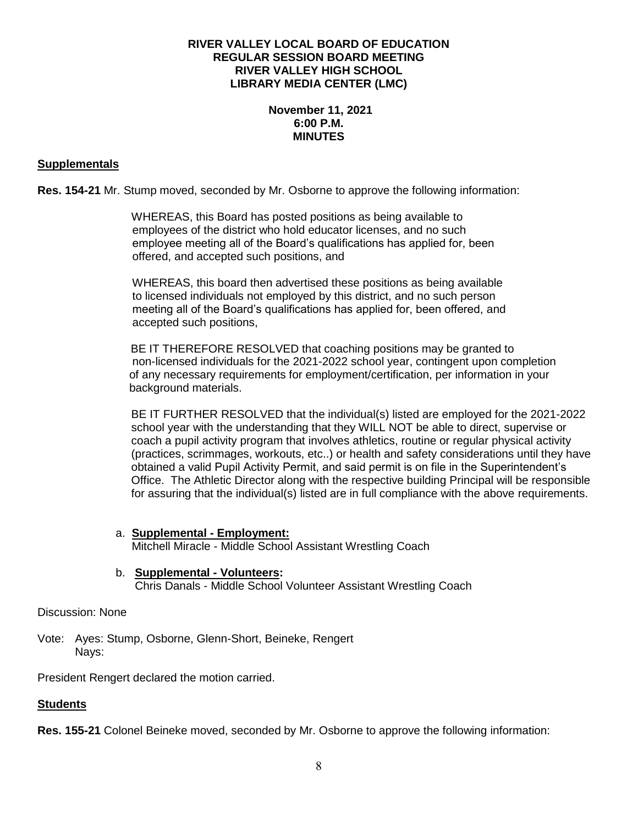### **November 11, 2021 6:00 P.M. MINUTES**

### **Supplementals**

**Res. 154-21** Mr. Stump moved, seconded by Mr. Osborne to approve the following information:

 WHEREAS, this Board has posted positions as being available to employees of the district who hold educator licenses, and no such employee meeting all of the Board's qualifications has applied for, been offered, and accepted such positions, and

 WHEREAS, this board then advertised these positions as being available to licensed individuals not employed by this district, and no such person meeting all of the Board's qualifications has applied for, been offered, and accepted such positions,

 BE IT THEREFORE RESOLVED that coaching positions may be granted to non-licensed individuals for the 2021-2022 school year, contingent upon completion of any necessary requirements for employment/certification, per information in your background materials.

BE IT FURTHER RESOLVED that the individual(s) listed are employed for the 2021-2022 school year with the understanding that they WILL NOT be able to direct, supervise or coach a pupil activity program that involves athletics, routine or regular physical activity (practices, scrimmages, workouts, etc..) or health and safety considerations until they have obtained a valid Pupil Activity Permit, and said permit is on file in the Superintendent's Office. The Athletic Director along with the respective building Principal will be responsible for assuring that the individual(s) listed are in full compliance with the above requirements.

a. **Supplemental - Employment:**

Mitchell Miracle - Middle School Assistant Wrestling Coach

b. **Supplemental - Volunteers:** Chris Danals - Middle School Volunteer Assistant Wrestling Coach

Discussion: None

Vote: Ayes: Stump, Osborne, Glenn-Short, Beineke, Rengert Nays:

President Rengert declared the motion carried.

# **Students**

**Res. 155-21** Colonel Beineke moved, seconded by Mr. Osborne to approve the following information: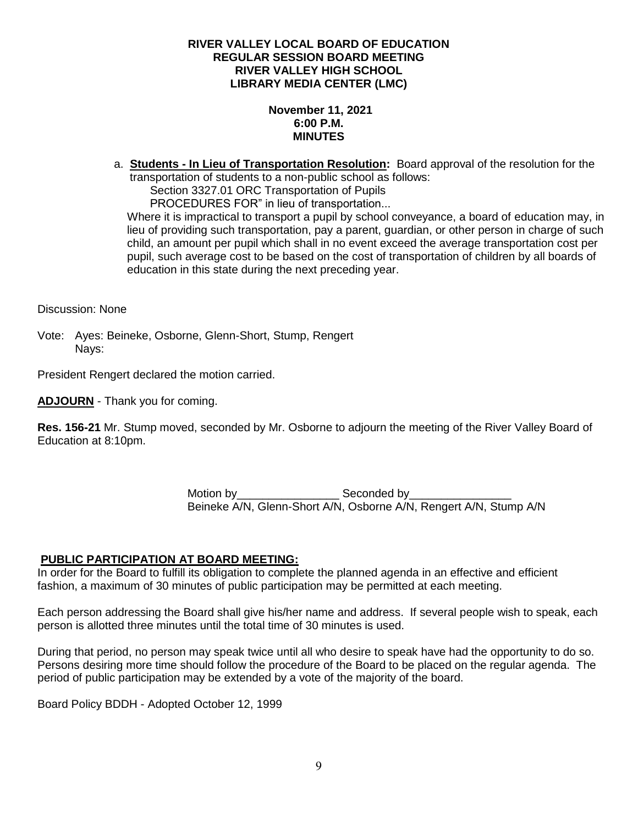### **November 11, 2021 6:00 P.M. MINUTES**

 a. **Students - In Lieu of Transportation Resolution:** Board approval of the resolution for the transportation of students to a non-public school as follows:

Section 3327.01 ORC Transportation of Pupils PROCEDURES FOR" in lieu of transportation...

Where it is impractical to transport a pupil by school conveyance, a board of education may, in lieu of providing such transportation, pay a parent, guardian, or other person in charge of such child, an amount per pupil which shall in no event exceed the average transportation cost per pupil, such average cost to be based on the cost of transportation of children by all boards of education in this state during the next preceding year.

Discussion: None

Vote: Ayes: Beineke, Osborne, Glenn-Short, Stump, Rengert Nays:

President Rengert declared the motion carried.

**ADJOURN** - Thank you for coming.

**Res. 156-21** Mr. Stump moved, seconded by Mr. Osborne to adjourn the meeting of the River Valley Board of Education at 8:10pm.

> Motion by Seconded by Beineke A/N, Glenn-Short A/N, Osborne A/N, Rengert A/N, Stump A/N

# **PUBLIC PARTICIPATION AT BOARD MEETING:**

In order for the Board to fulfill its obligation to complete the planned agenda in an effective and efficient fashion, a maximum of 30 minutes of public participation may be permitted at each meeting.

Each person addressing the Board shall give his/her name and address. If several people wish to speak, each person is allotted three minutes until the total time of 30 minutes is used.

During that period, no person may speak twice until all who desire to speak have had the opportunity to do so. Persons desiring more time should follow the procedure of the Board to be placed on the regular agenda. The period of public participation may be extended by a vote of the majority of the board.

Board Policy BDDH - Adopted October 12, 1999